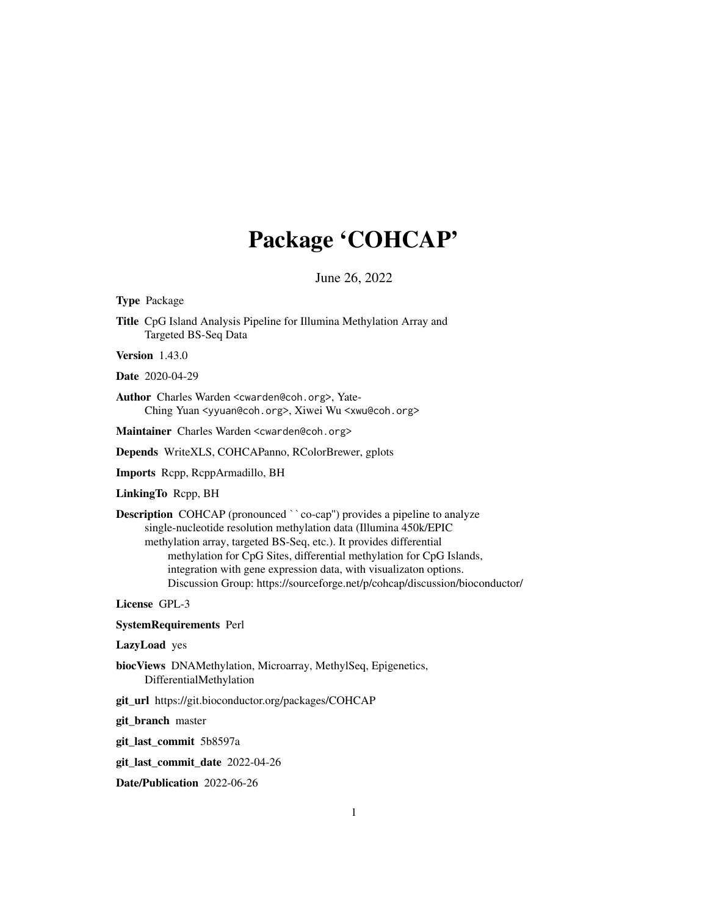# Package 'COHCAP'

June 26, 2022

Type Package

Title CpG Island Analysis Pipeline for Illumina Methylation Array and Targeted BS-Seq Data

Version 1.43.0

Date 2020-04-29

Author Charles Warden <cwarden@coh.org>, Yate-Ching Yuan <yyuan@coh.org>, Xiwei Wu <xwu@coh.org>

Maintainer Charles Warden <cwarden@coh.org>

Depends WriteXLS, COHCAPanno, RColorBrewer, gplots

Imports Rcpp, RcppArmadillo, BH

LinkingTo Rcpp, BH

Description COHCAP (pronounced ``co-cap'') provides a pipeline to analyze single-nucleotide resolution methylation data (Illumina 450k/EPIC methylation array, targeted BS-Seq, etc.). It provides differential methylation for CpG Sites, differential methylation for CpG Islands, integration with gene expression data, with visualizaton options. Discussion Group: https://sourceforge.net/p/cohcap/discussion/bioconductor/

License GPL-3

SystemRequirements Perl

LazyLoad yes

- biocViews DNAMethylation, Microarray, MethylSeq, Epigenetics, DifferentialMethylation
- git\_url https://git.bioconductor.org/packages/COHCAP

git\_branch master

git\_last\_commit 5b8597a

git\_last\_commit\_date 2022-04-26

Date/Publication 2022-06-26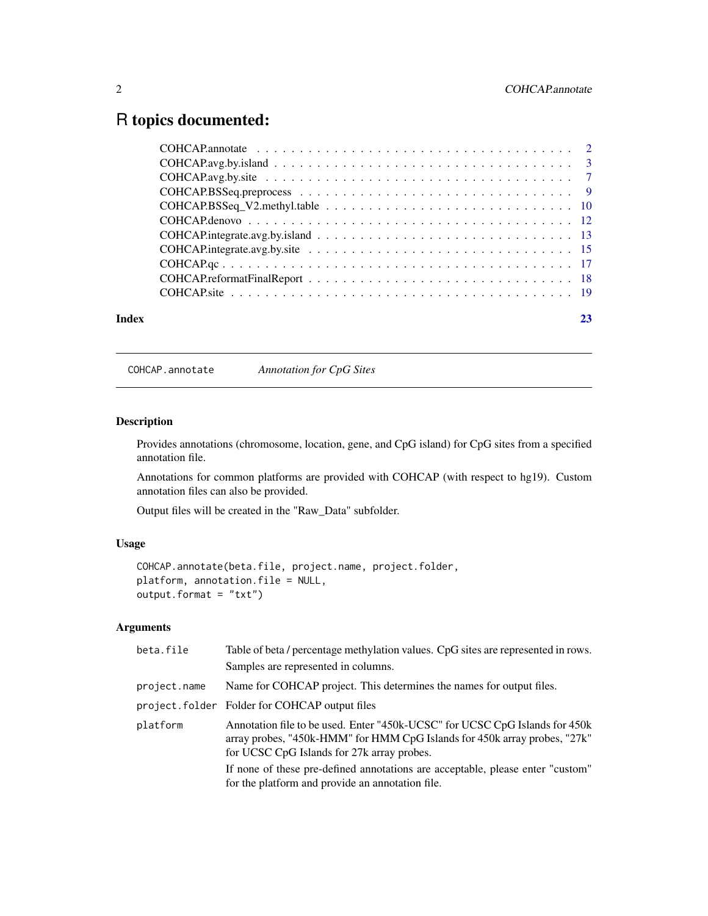# <span id="page-1-0"></span>R topics documented:

| Index |                                                                                                                           | 23 |
|-------|---------------------------------------------------------------------------------------------------------------------------|----|
|       |                                                                                                                           |    |
|       |                                                                                                                           |    |
|       |                                                                                                                           |    |
|       |                                                                                                                           |    |
|       |                                                                                                                           |    |
|       |                                                                                                                           |    |
|       |                                                                                                                           |    |
|       |                                                                                                                           |    |
|       |                                                                                                                           |    |
|       | $COHCAP. avg. by is land \dots \dots \dots \dots \dots \dots \dots \dots \dots \dots \dots \dots \dots \dots \dots \dots$ |    |
|       |                                                                                                                           |    |

COHCAP.annotate *Annotation for CpG Sites*

# Description

Provides annotations (chromosome, location, gene, and CpG island) for CpG sites from a specified annotation file.

Annotations for common platforms are provided with COHCAP (with respect to hg19). Custom annotation files can also be provided.

Output files will be created in the "Raw\_Data" subfolder.

# Usage

```
COHCAP.annotate(beta.file, project.name, project.folder,
platform, annotation.file = NULL,
output.format = "txt")
```

| beta.file    | Table of beta / percentage methylation values. CpG sites are represented in rows.                                                                                                                      |
|--------------|--------------------------------------------------------------------------------------------------------------------------------------------------------------------------------------------------------|
|              | Samples are represented in columns.                                                                                                                                                                    |
| project.name | Name for COHCAP project. This determines the names for output files.                                                                                                                                   |
|              | project.folder Folder for COHCAP output files                                                                                                                                                          |
| platform     | Annotation file to be used. Enter "450k-UCSC" for UCSC CpG Islands for 450k<br>array probes, "450k-HMM" for HMM CpG Islands for 450k array probes, "27k"<br>for UCSC CpG Islands for 27k array probes. |
|              | If none of these pre-defined annotations are acceptable, please enter "custom"<br>for the platform and provide an annotation file.                                                                     |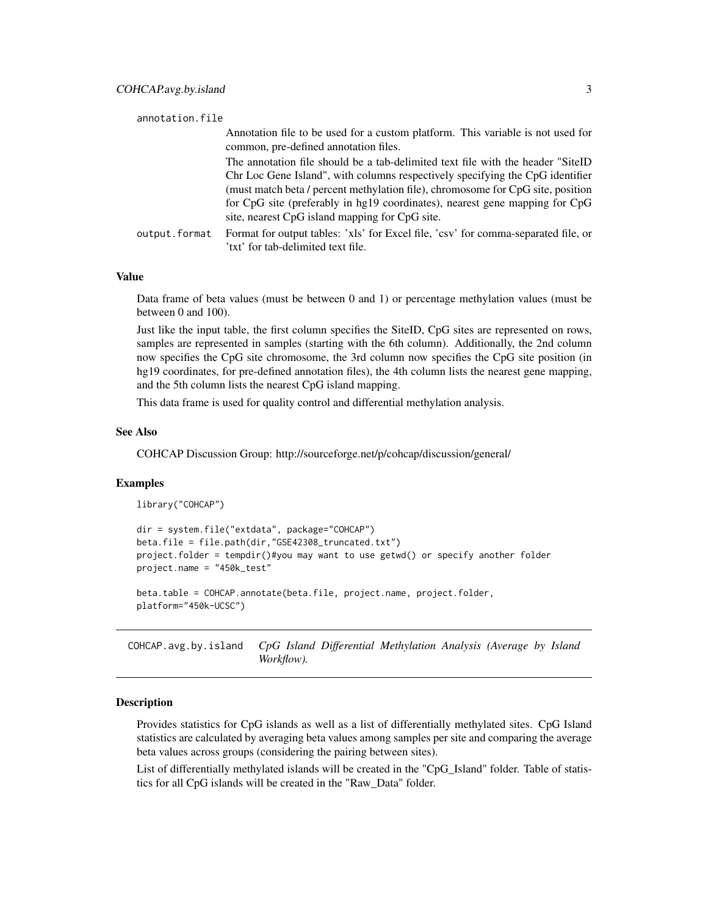### <span id="page-2-0"></span>annotation.file

|               | Annotation file to be used for a custom platform. This variable is not used for    |
|---------------|------------------------------------------------------------------------------------|
|               | common, pre-defined annotation files.                                              |
|               | The annotation file should be a tab-delimited text file with the header "SiteID"   |
|               | Chr Loc Gene Island", with columns respectively specifying the CpG identifier      |
|               | (must match beta / percent methylation file), chromosome for CpG site, position    |
|               | for CpG site (preferably in hg19 coordinates), nearest gene mapping for CpG        |
|               | site, nearest CpG island mapping for CpG site.                                     |
| output.format | Format for output tables: 'xls' for Excel file, 'csv' for comma-separated file, or |
|               | 'txt' for tab-delimited text file.                                                 |

#### Value

Data frame of beta values (must be between 0 and 1) or percentage methylation values (must be between 0 and 100).

Just like the input table, the first column specifies the SiteID, CpG sites are represented on rows, samples are represented in samples (starting with the 6th column). Additionally, the 2nd column now specifies the CpG site chromosome, the 3rd column now specifies the CpG site position (in hg19 coordinates, for pre-defined annotation files), the 4th column lists the nearest gene mapping, and the 5th column lists the nearest CpG island mapping.

This data frame is used for quality control and differential methylation analysis.

#### See Also

COHCAP Discussion Group: http://sourceforge.net/p/cohcap/discussion/general/

#### Examples

library("COHCAP")

```
dir = system.file("extdata", package="COHCAP")
beta.file = file.path(dir,"GSE42308_truncated.txt")
project.folder = tempdir()#you may want to use getwd() or specify another folder
project.name = "450k_test"
```
beta.table = COHCAP.annotate(beta.file, project.name, project.folder, platform="450k-UCSC")

COHCAP.avg.by.island *CpG Island Differential Methylation Analysis (Average by Island Workflow).*

# **Description**

Provides statistics for CpG islands as well as a list of differentially methylated sites. CpG Island statistics are calculated by averaging beta values among samples per site and comparing the average beta values across groups (considering the pairing between sites).

List of differentially methylated islands will be created in the "CpG\_Island" folder. Table of statistics for all CpG islands will be created in the "Raw\_Data" folder.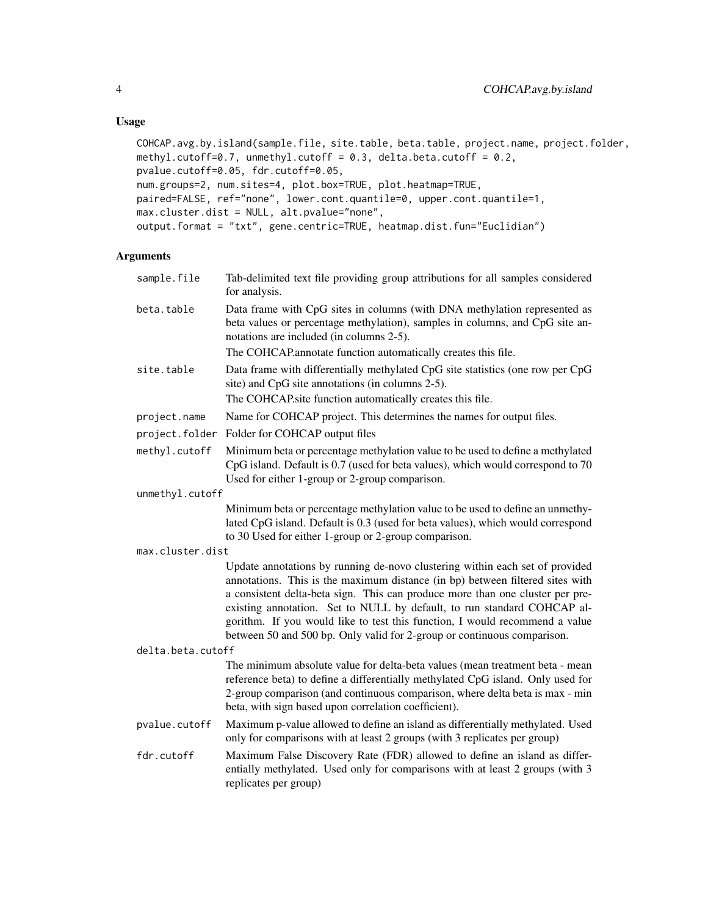# Usage

```
COHCAP.avg.by.island(sample.file, site.table, beta.table, project.name, project.folder,
methyl.cutoff=0.7, unmethyl.cutoff = 0.3, delta.beta.cutoff = 0.2,
pvalue.cutoff=0.05, fdr.cutoff=0.05,
num.groups=2, num.sites=4, plot.box=TRUE, plot.heatmap=TRUE,
paired=FALSE, ref="none", lower.cont.quantile=0, upper.cont.quantile=1,
max.cluster.dist = NULL, alt.pvalue="none",
output.format = "txt", gene.centric=TRUE, heatmap.dist.fun="Euclidian")
```

| sample.file       | Tab-delimited text file providing group attributions for all samples considered<br>for analysis.                                                                                                                                                                                                                                                                                                                                                                                    |  |
|-------------------|-------------------------------------------------------------------------------------------------------------------------------------------------------------------------------------------------------------------------------------------------------------------------------------------------------------------------------------------------------------------------------------------------------------------------------------------------------------------------------------|--|
| beta.table        | Data frame with CpG sites in columns (with DNA methylation represented as<br>beta values or percentage methylation), samples in columns, and CpG site an-<br>notations are included (in columns 2-5).<br>The COHCAP.annotate function automatically creates this file.                                                                                                                                                                                                              |  |
| site.table        | Data frame with differentially methylated CpG site statistics (one row per CpG<br>site) and CpG site annotations (in columns 2-5).<br>The COHCAP.site function automatically creates this file.                                                                                                                                                                                                                                                                                     |  |
| project.name      | Name for COHCAP project. This determines the names for output files.                                                                                                                                                                                                                                                                                                                                                                                                                |  |
| project.folder    | Folder for COHCAP output files                                                                                                                                                                                                                                                                                                                                                                                                                                                      |  |
| methyl.cutoff     | Minimum beta or percentage methylation value to be used to define a methylated<br>CpG island. Default is 0.7 (used for beta values), which would correspond to 70<br>Used for either 1-group or 2-group comparison.                                                                                                                                                                                                                                                                 |  |
| unmethyl.cutoff   |                                                                                                                                                                                                                                                                                                                                                                                                                                                                                     |  |
|                   | Minimum beta or percentage methylation value to be used to define an unmethy-<br>lated CpG island. Default is 0.3 (used for beta values), which would correspond<br>to 30 Used for either 1-group or 2-group comparison.                                                                                                                                                                                                                                                            |  |
| max.cluster.dist  |                                                                                                                                                                                                                                                                                                                                                                                                                                                                                     |  |
|                   | Update annotations by running de-novo clustering within each set of provided<br>annotations. This is the maximum distance (in bp) between filtered sites with<br>a consistent delta-beta sign. This can produce more than one cluster per pre-<br>existing annotation. Set to NULL by default, to run standard COHCAP al-<br>gorithm. If you would like to test this function, I would recommend a value<br>between 50 and 500 bp. Only valid for 2-group or continuous comparison. |  |
| delta.beta.cutoff |                                                                                                                                                                                                                                                                                                                                                                                                                                                                                     |  |
|                   | The minimum absolute value for delta-beta values (mean treatment beta - mean<br>reference beta) to define a differentially methylated CpG island. Only used for<br>2-group comparison (and continuous comparison, where delta beta is max - min<br>beta, with sign based upon correlation coefficient).                                                                                                                                                                             |  |
| pvalue.cutoff     | Maximum p-value allowed to define an island as differentially methylated. Used<br>only for comparisons with at least 2 groups (with 3 replicates per group)                                                                                                                                                                                                                                                                                                                         |  |
| fdr.cutoff        | Maximum False Discovery Rate (FDR) allowed to define an island as differ-<br>entially methylated. Used only for comparisons with at least 2 groups (with 3<br>replicates per group)                                                                                                                                                                                                                                                                                                 |  |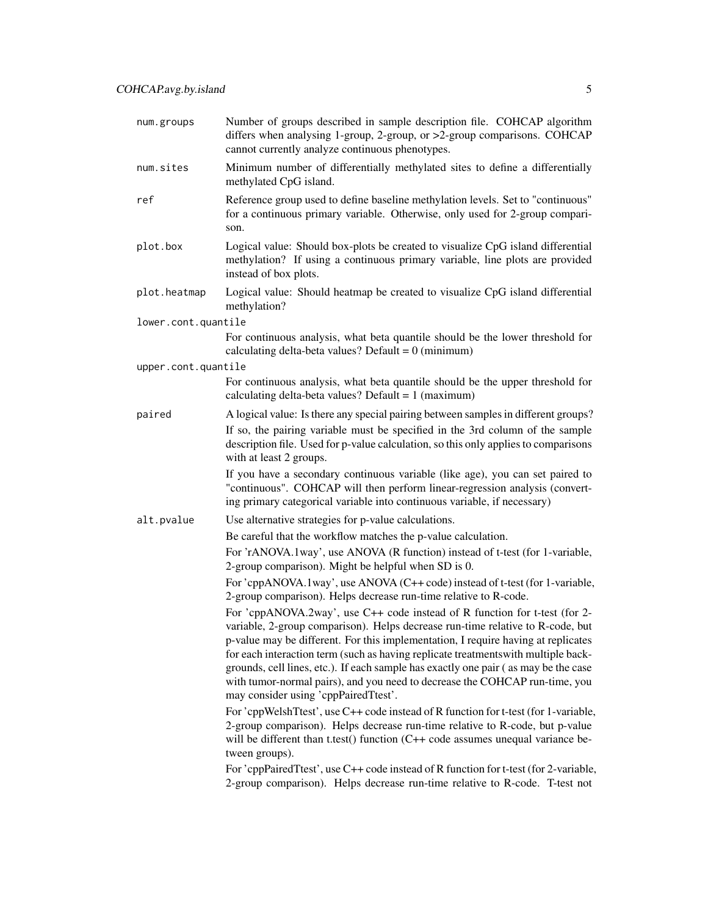| num.groups          | Number of groups described in sample description file. COHCAP algorithm<br>differs when analysing 1-group, 2-group, or >2-group comparisons. COHCAP<br>cannot currently analyze continuous phenotypes.                                                                                                                                                                                                                                                                                                                                                |
|---------------------|-------------------------------------------------------------------------------------------------------------------------------------------------------------------------------------------------------------------------------------------------------------------------------------------------------------------------------------------------------------------------------------------------------------------------------------------------------------------------------------------------------------------------------------------------------|
| num.sites           | Minimum number of differentially methylated sites to define a differentially<br>methylated CpG island.                                                                                                                                                                                                                                                                                                                                                                                                                                                |
| ref                 | Reference group used to define baseline methylation levels. Set to "continuous"<br>for a continuous primary variable. Otherwise, only used for 2-group compari-<br>son.                                                                                                                                                                                                                                                                                                                                                                               |
| plot.box            | Logical value: Should box-plots be created to visualize CpG island differential<br>methylation? If using a continuous primary variable, line plots are provided<br>instead of box plots.                                                                                                                                                                                                                                                                                                                                                              |
| plot.heatmap        | Logical value: Should heatmap be created to visualize CpG island differential<br>methylation?                                                                                                                                                                                                                                                                                                                                                                                                                                                         |
| lower.cont.quantile |                                                                                                                                                                                                                                                                                                                                                                                                                                                                                                                                                       |
|                     | For continuous analysis, what beta quantile should be the lower threshold for<br>calculating delta-beta values? Default = $0$ (minimum)                                                                                                                                                                                                                                                                                                                                                                                                               |
| upper.cont.quantile |                                                                                                                                                                                                                                                                                                                                                                                                                                                                                                                                                       |
|                     | For continuous analysis, what beta quantile should be the upper threshold for<br>calculating delta-beta values? Default = $1$ (maximum)                                                                                                                                                                                                                                                                                                                                                                                                               |
| paired              | A logical value: Is there any special pairing between samples in different groups?                                                                                                                                                                                                                                                                                                                                                                                                                                                                    |
|                     | If so, the pairing variable must be specified in the 3rd column of the sample<br>description file. Used for p-value calculation, so this only applies to comparisons<br>with at least 2 groups.                                                                                                                                                                                                                                                                                                                                                       |
|                     | If you have a secondary continuous variable (like age), you can set paired to<br>"continuous". COHCAP will then perform linear-regression analysis (convert-<br>ing primary categorical variable into continuous variable, if necessary)                                                                                                                                                                                                                                                                                                              |
| alt.pvalue          | Use alternative strategies for p-value calculations.                                                                                                                                                                                                                                                                                                                                                                                                                                                                                                  |
|                     | Be careful that the workflow matches the p-value calculation.                                                                                                                                                                                                                                                                                                                                                                                                                                                                                         |
|                     | For 'rANOVA.1way', use ANOVA (R function) instead of t-test (for 1-variable,<br>2-group comparison). Might be helpful when SD is 0.                                                                                                                                                                                                                                                                                                                                                                                                                   |
|                     | For 'cppANOVA.1way', use ANOVA (C++ code) instead of t-test (for 1-variable,<br>2-group comparison). Helps decrease run-time relative to R-code.                                                                                                                                                                                                                                                                                                                                                                                                      |
|                     | For 'cppANOVA.2way', use C++ code instead of R function for t-test (for 2-<br>variable, 2-group comparison). Helps decrease run-time relative to R-code, but<br>p-value may be different. For this implementation, I require having at replicates<br>for each interaction term (such as having replicate treatments with multiple back-<br>grounds, cell lines, etc.). If each sample has exactly one pair (as may be the case<br>with tumor-normal pairs), and you need to decrease the COHCAP run-time, you<br>may consider using 'cppPairedTtest'. |
|                     | For 'cppWelshTtest', use C++ code instead of R function for t-test (for 1-variable,<br>2-group comparison). Helps decrease run-time relative to R-code, but p-value<br>will be different than t.test() function (C++ code assumes unequal variance be-<br>tween groups).                                                                                                                                                                                                                                                                              |
|                     | For 'cppPairedTtest', use C++ code instead of R function for t-test (for 2-variable,<br>2-group comparison). Helps decrease run-time relative to R-code. T-test not                                                                                                                                                                                                                                                                                                                                                                                   |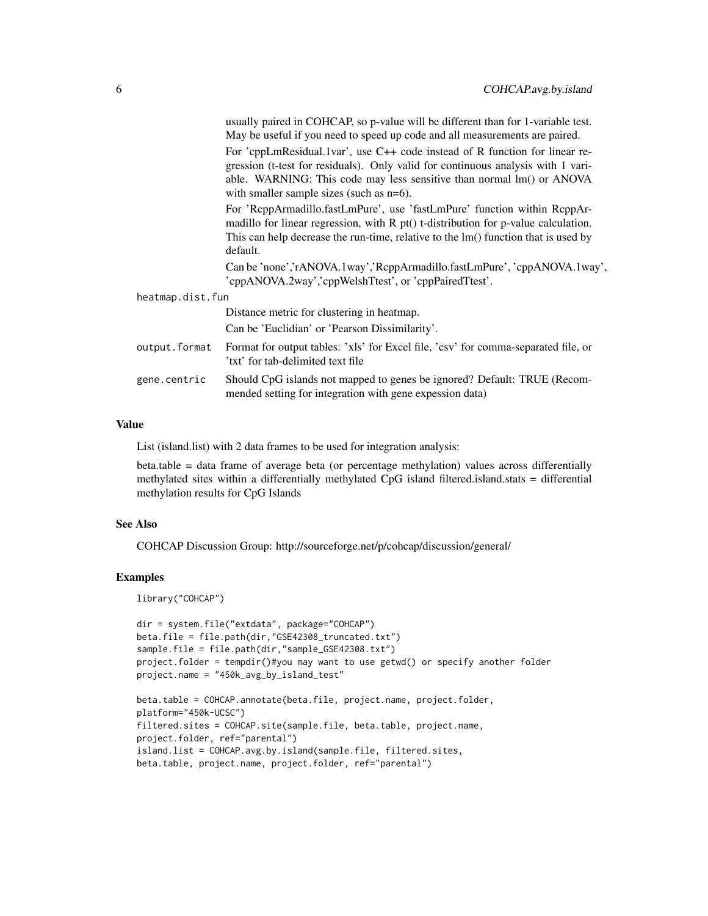|                  | usually paired in COHCAP, so p-value will be different than for 1-variable test.<br>May be useful if you need to speed up code and all measurements are paired.                                                                                                                           |
|------------------|-------------------------------------------------------------------------------------------------------------------------------------------------------------------------------------------------------------------------------------------------------------------------------------------|
|                  | For 'cppLmResidual.1var', use $C++$ code instead of R function for linear re-<br>gression (t-test for residuals). Only valid for continuous analysis with 1 vari-<br>able. WARNING: This code may less sensitive than normal lm() or ANOVA<br>with smaller sample sizes (such as $n=6$ ). |
|                  | For 'ReppArmadillo.fastLmPure', use 'fastLmPure' function within ReppAr-<br>madillo for linear regression, with R pt() t-distribution for p-value calculation.<br>This can help decrease the run-time, relative to the lm() function that is used by<br>default.                          |
|                  | Can be 'none','rANOVA.1way','RcppArmadillo.fastLmPure','cppANOVA.1way',<br>'cppANOVA.2way','cppWelshTtest', or 'cppPairedTtest'.                                                                                                                                                          |
| heatmap.dist.fun |                                                                                                                                                                                                                                                                                           |
|                  | Distance metric for clustering in heatmap.                                                                                                                                                                                                                                                |
|                  | Can be 'Euclidian' or 'Pearson Dissimilarity'.                                                                                                                                                                                                                                            |
| output.format    | Format for output tables: 'xls' for Excel file, 'csv' for comma-separated file, or<br>'txt' for tab-delimited text file                                                                                                                                                                   |
| gene.centric     | Should CpG islands not mapped to genes be ignored? Default: TRUE (Recom-<br>mended setting for integration with gene expession data)                                                                                                                                                      |

#### Value

List (island.list) with 2 data frames to be used for integration analysis:

beta.table = data frame of average beta (or percentage methylation) values across differentially methylated sites within a differentially methylated CpG island filtered.island.stats = differential methylation results for CpG Islands

#### See Also

COHCAP Discussion Group: http://sourceforge.net/p/cohcap/discussion/general/

# Examples

library("COHCAP")

```
dir = system.file("extdata", package="COHCAP")
beta.file = file.path(dir,"GSE42308_truncated.txt")
sample.file = file.path(dir,"sample_GSE42308.txt")
project.folder = tempdir()#you may want to use getwd() or specify another folder
project.name = "450k_avg_by_island_test"
```

```
beta.table = COHCAP.annotate(beta.file, project.name, project.folder,
platform="450k-UCSC")
filtered.sites = COHCAP.site(sample.file, beta.table, project.name,
project.folder, ref="parental")
island.list = COHCAP.avg.by.island(sample.file, filtered.sites,
beta.table, project.name, project.folder, ref="parental")
```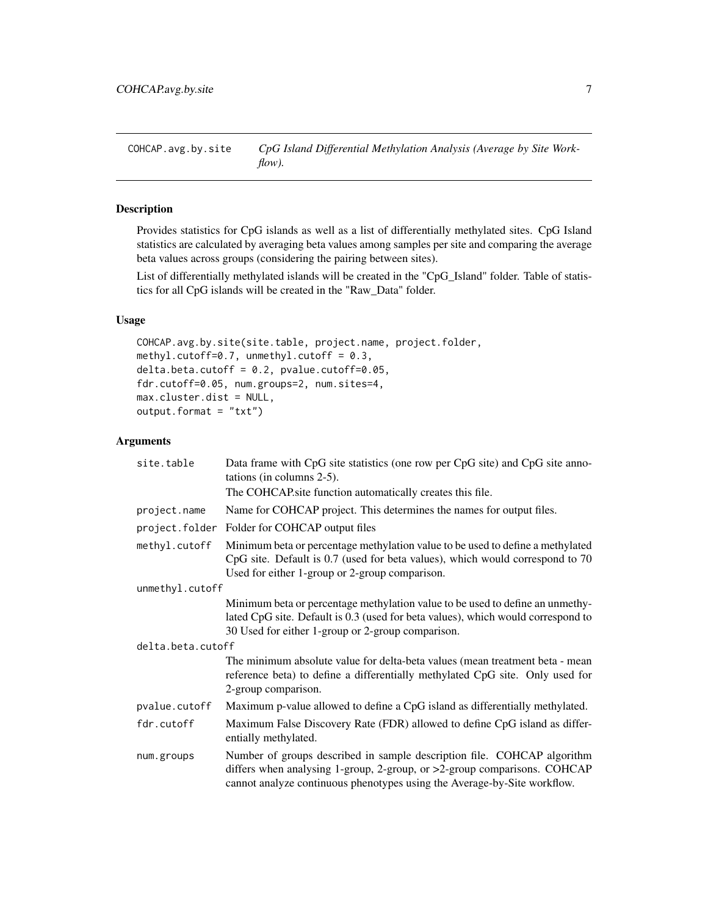<span id="page-6-0"></span>COHCAP.avg.by.site *CpG Island Differential Methylation Analysis (Average by Site Workflow).*

# Description

Provides statistics for CpG islands as well as a list of differentially methylated sites. CpG Island statistics are calculated by averaging beta values among samples per site and comparing the average beta values across groups (considering the pairing between sites).

List of differentially methylated islands will be created in the "CpG\_Island" folder. Table of statistics for all CpG islands will be created in the "Raw\_Data" folder.

# Usage

```
COHCAP.avg.by.site(site.table, project.name, project.folder,
methyl.cutoff=0.7, unmethyl.cutoff = 0.3,
delta. beta. cutoff = 0.2, pvalue. cutoff = 0.05,fdr.cutoff=0.05, num.groups=2, num.sites=4,
max.cluster.dist = NULL,
output.format = "txt")
```

| site.table        | Data frame with CpG site statistics (one row per CpG site) and CpG site anno-<br>tations (in columns $2-5$ ).                                                                                                                   |  |
|-------------------|---------------------------------------------------------------------------------------------------------------------------------------------------------------------------------------------------------------------------------|--|
|                   | The COHCAP site function automatically creates this file.                                                                                                                                                                       |  |
| project.name      | Name for COHCAP project. This determines the names for output files.                                                                                                                                                            |  |
| project.folder    | Folder for COHCAP output files                                                                                                                                                                                                  |  |
| methyl.cutoff     | Minimum beta or percentage methylation value to be used to define a methylated<br>CpG site. Default is 0.7 (used for beta values), which would correspond to 70<br>Used for either 1-group or 2-group comparison.               |  |
| unmethyl.cutoff   |                                                                                                                                                                                                                                 |  |
|                   | Minimum beta or percentage methylation value to be used to define an unmethy-<br>lated CpG site. Default is 0.3 (used for beta values), which would correspond to<br>30 Used for either 1-group or 2-group comparison.          |  |
| delta.beta.cutoff |                                                                                                                                                                                                                                 |  |
|                   | The minimum absolute value for delta-beta values (mean treatment beta - mean<br>reference beta) to define a differentially methylated CpG site. Only used for<br>2-group comparison.                                            |  |
| pvalue.cutoff     | Maximum p-value allowed to define a CpG island as differentially methylated.                                                                                                                                                    |  |
| fdr.cutoff        | Maximum False Discovery Rate (FDR) allowed to define CpG island as differ-<br>entially methylated.                                                                                                                              |  |
| num.groups        | Number of groups described in sample description file. COHCAP algorithm<br>differs when analysing 1-group, 2-group, or >2-group comparisons. COHCAP<br>cannot analyze continuous phenotypes using the Average-by-Site workflow. |  |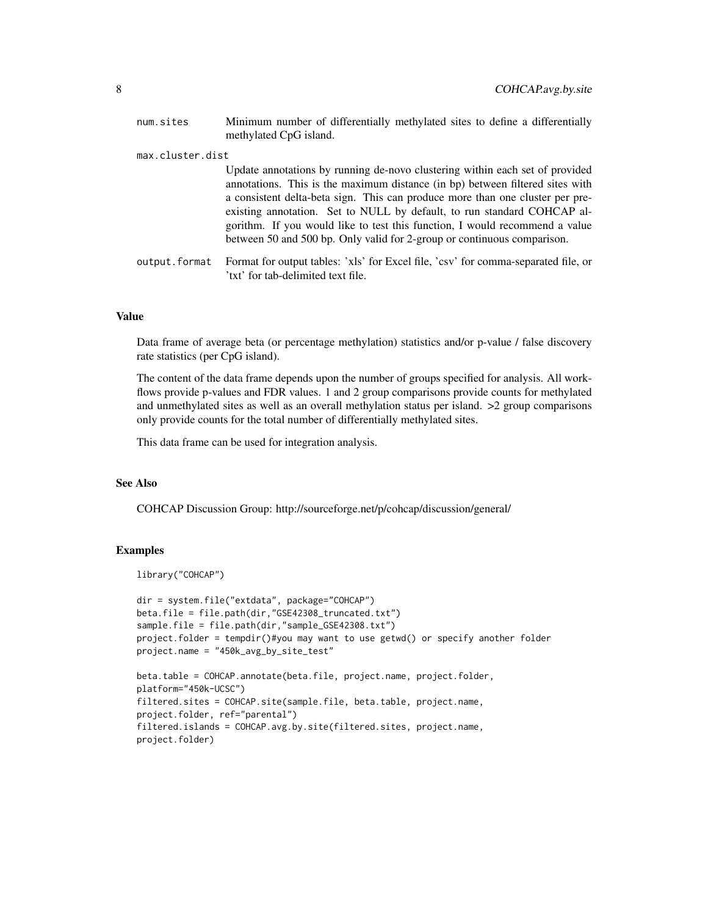| num.sites        | Minimum number of differentially methylated sites to define a differentially<br>methylated CpG island.                                                                                                                                                                                                                                                                                                                                                                              |
|------------------|-------------------------------------------------------------------------------------------------------------------------------------------------------------------------------------------------------------------------------------------------------------------------------------------------------------------------------------------------------------------------------------------------------------------------------------------------------------------------------------|
| max.cluster.dist |                                                                                                                                                                                                                                                                                                                                                                                                                                                                                     |
|                  | Update annotations by running de-novo clustering within each set of provided<br>annotations. This is the maximum distance (in bp) between filtered sites with<br>a consistent delta-beta sign. This can produce more than one cluster per pre-<br>existing annotation. Set to NULL by default, to run standard COHCAP al-<br>gorithm. If you would like to test this function, I would recommend a value<br>between 50 and 500 bp. Only valid for 2-group or continuous comparison. |
| output.format    | Format for output tables: 'xls' for Excel file, 'csv' for comma-separated file, or<br>'txt' for tab-delimited text file.                                                                                                                                                                                                                                                                                                                                                            |

#### Value

Data frame of average beta (or percentage methylation) statistics and/or p-value / false discovery rate statistics (per CpG island).

The content of the data frame depends upon the number of groups specified for analysis. All workflows provide p-values and FDR values. 1 and 2 group comparisons provide counts for methylated and unmethylated sites as well as an overall methylation status per island. >2 group comparisons only provide counts for the total number of differentially methylated sites.

This data frame can be used for integration analysis.

# See Also

COHCAP Discussion Group: http://sourceforge.net/p/cohcap/discussion/general/

#### Examples

```
library("COHCAP")
```

```
dir = system.file("extdata", package="COHCAP")
beta.file = file.path(dir,"GSE42308_truncated.txt")
sample.file = file.path(dir,"sample_GSE42308.txt")
project.folder = tempdir()#you may want to use getwd() or specify another folder
project.name = "450k_avg_by_site_test"
beta.table = COHCAP.annotate(beta.file, project.name, project.folder,
platform="450k-UCSC")
filtered.sites = COHCAP.site(sample.file, beta.table, project.name,
project.folder, ref="parental")
filtered.islands = COHCAP.avg.by.site(filtered.sites, project.name,
project.folder)
```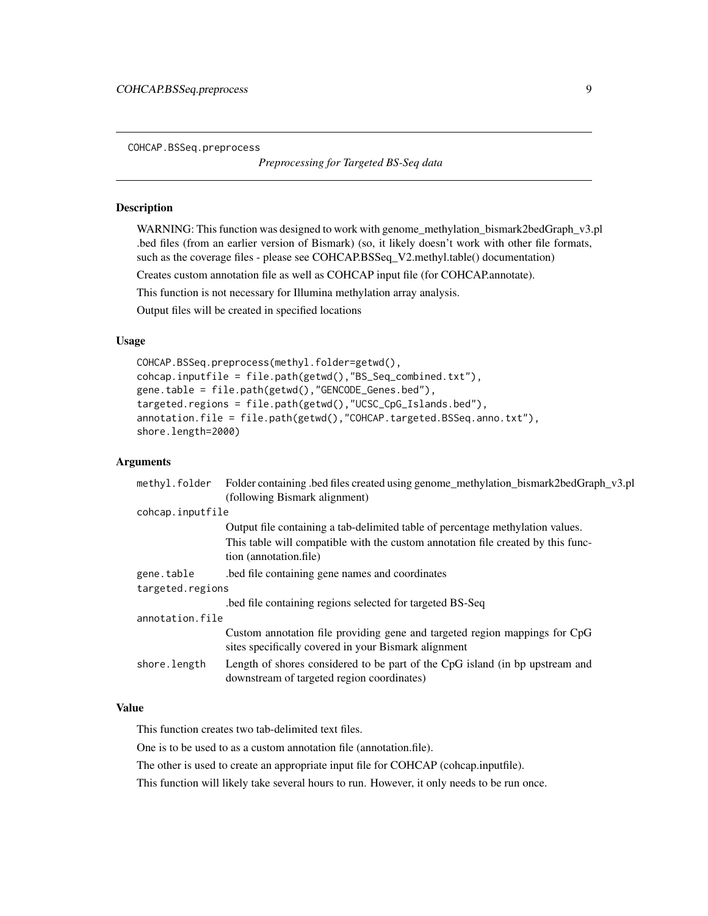<span id="page-8-0"></span>COHCAP.BSSeq.preprocess

*Preprocessing for Targeted BS-Seq data*

#### Description

WARNING: This function was designed to work with genome\_methylation\_bismark2bedGraph\_v3.pl .bed files (from an earlier version of Bismark) (so, it likely doesn't work with other file formats, such as the coverage files - please see COHCAP.BSSeq\_V2.methyl.table() documentation)

Creates custom annotation file as well as COHCAP input file (for COHCAP.annotate).

This function is not necessary for Illumina methylation array analysis.

Output files will be created in specified locations

#### Usage

COHCAP.BSSeq.preprocess(methyl.folder=getwd(), cohcap.inputfile = file.path(getwd(),"BS\_Seq\_combined.txt"), gene.table = file.path(getwd(),"GENCODE\_Genes.bed"), targeted.regions = file.path(getwd(),"UCSC\_CpG\_Islands.bed"), annotation.file = file.path(getwd(),"COHCAP.targeted.BSSeq.anno.txt"), shore.length=2000)

#### Arguments

| methyl.folder Folder containing bed files created using genome_methylation_bismark2bedGraph_v3.pl                                  |  |  |
|------------------------------------------------------------------------------------------------------------------------------------|--|--|
| (following Bismark alignment)                                                                                                      |  |  |
| cohcap.inputfile                                                                                                                   |  |  |
| Output file containing a tab-delimited table of percentage methylation values.                                                     |  |  |
| This table will compatible with the custom annotation file created by this func-<br>tion (annotation.file)                         |  |  |
| bed file containing gene names and coordinates                                                                                     |  |  |
| targeted.regions                                                                                                                   |  |  |
| bed file containing regions selected for targeted BS-Seq.                                                                          |  |  |
| annotation.file                                                                                                                    |  |  |
| Custom annotation file providing gene and targeted region mappings for CpG<br>sites specifically covered in your Bismark alignment |  |  |
| Length of shores considered to be part of the CpG island (in bp upstream and<br>downstream of targeted region coordinates)         |  |  |
|                                                                                                                                    |  |  |

### Value

This function creates two tab-delimited text files.

One is to be used to as a custom annotation file (annotation.file).

The other is used to create an appropriate input file for COHCAP (cohcap.inputfile).

This function will likely take several hours to run. However, it only needs to be run once.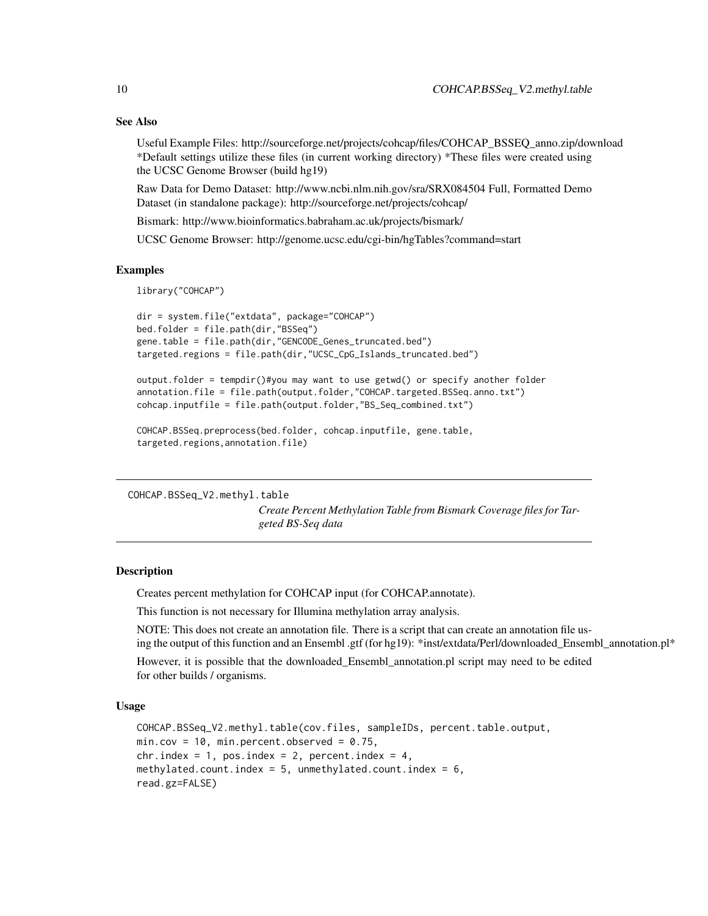# See Also

Useful Example Files: http://sourceforge.net/projects/cohcap/files/COHCAP\_BSSEQ\_anno.zip/download \*Default settings utilize these files (in current working directory) \*These files were created using the UCSC Genome Browser (build hg19)

Raw Data for Demo Dataset: http://www.ncbi.nlm.nih.gov/sra/SRX084504 Full, Formatted Demo Dataset (in standalone package): http://sourceforge.net/projects/cohcap/

Bismark: http://www.bioinformatics.babraham.ac.uk/projects/bismark/

UCSC Genome Browser: http://genome.ucsc.edu/cgi-bin/hgTables?command=start

#### Examples

library("COHCAP")

```
dir = system.file("extdata", package="COHCAP")
bed.folder = file.path(dir,"BSSeq")
gene.table = file.path(dir,"GENCODE_Genes_truncated.bed")
targeted.regions = file.path(dir,"UCSC_CpG_Islands_truncated.bed")
```

```
output.folder = tempdir()#you may want to use getwd() or specify another folder
annotation.file = file.path(output.folder,"COHCAP.targeted.BSSeq.anno.txt")
cohcap.inputfile = file.path(output.folder,"BS_Seq_combined.txt")
```

```
COHCAP.BSSeq.preprocess(bed.folder, cohcap.inputfile, gene.table,
targeted.regions,annotation.file)
```
COHCAP.BSSeq\_V2.methyl.table

*Create Percent Methylation Table from Bismark Coverage files for Targeted BS-Seq data*

# **Description**

Creates percent methylation for COHCAP input (for COHCAP.annotate).

This function is not necessary for Illumina methylation array analysis.

NOTE: This does not create an annotation file. There is a script that can create an annotation file using the output of this function and an Ensembl .gtf (for hg19): \*inst/extdata/Perl/downloaded\_Ensembl\_annotation.pl\*

However, it is possible that the downloaded\_Ensembl\_annotation.pl script may need to be edited for other builds / organisms.

#### Usage

```
COHCAP.BSSeq_V2.methyl.table(cov.files, sampleIDs, percent.table.output,
min.cov = 10, min.percent.observed = 0.75,
chr.index = 1, pos.index = 2, percent.index = 4,
methylated.count.index = 5, unmethylated.count.index = 6,
read.gz=FALSE)
```
<span id="page-9-0"></span>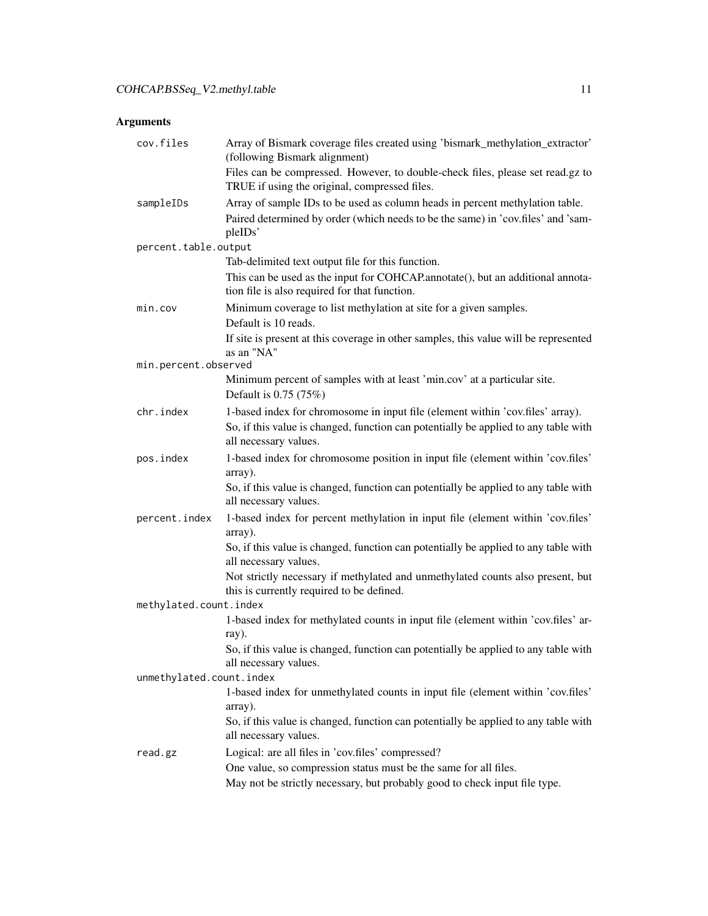| cov.files                | Array of Bismark coverage files created using 'bismark_methylation_extractor'<br>(following Bismark alignment)                                                              |  |
|--------------------------|-----------------------------------------------------------------------------------------------------------------------------------------------------------------------------|--|
|                          | Files can be compressed. However, to double-check files, please set read.gz to<br>TRUE if using the original, compressed files.                                             |  |
| sampleIDs                | Array of sample IDs to be used as column heads in percent methylation table.<br>Paired determined by order (which needs to be the same) in 'cov.files' and 'sam-<br>pleIDs' |  |
| percent.table.output     |                                                                                                                                                                             |  |
|                          | Tab-delimited text output file for this function.                                                                                                                           |  |
|                          | This can be used as the input for COHCAP.annotate(), but an additional annota-<br>tion file is also required for that function.                                             |  |
| min.cov                  | Minimum coverage to list methylation at site for a given samples.                                                                                                           |  |
|                          | Default is 10 reads.                                                                                                                                                        |  |
|                          | If site is present at this coverage in other samples, this value will be represented<br>as an "NA"                                                                          |  |
| min.percent.observed     |                                                                                                                                                                             |  |
|                          | Minimum percent of samples with at least 'min.cov' at a particular site.<br>Default is 0.75 (75%)                                                                           |  |
| chr.index                | 1-based index for chromosome in input file (element within 'cov.files' array).                                                                                              |  |
|                          | So, if this value is changed, function can potentially be applied to any table with<br>all necessary values.                                                                |  |
| pos.index                | 1-based index for chromosome position in input file (element within 'cov.files'<br>array).                                                                                  |  |
|                          | So, if this value is changed, function can potentially be applied to any table with<br>all necessary values.                                                                |  |
| percent.index            | 1-based index for percent methylation in input file (element within 'cov.files'<br>array).                                                                                  |  |
|                          | So, if this value is changed, function can potentially be applied to any table with<br>all necessary values.                                                                |  |
|                          | Not strictly necessary if methylated and unmethylated counts also present, but<br>this is currently required to be defined.                                                 |  |
| methylated.count.index   |                                                                                                                                                                             |  |
|                          | 1-based index for methylated counts in input file (element within 'cov.files' ar-<br>ray).                                                                                  |  |
|                          | So, if this value is changed, function can potentially be applied to any table with<br>all necessary values.                                                                |  |
| unmethylated.count.index |                                                                                                                                                                             |  |
|                          | 1-based index for unmethylated counts in input file (element within 'cov.files'<br>array).                                                                                  |  |
|                          | So, if this value is changed, function can potentially be applied to any table with<br>all necessary values.                                                                |  |
| read.gz                  | Logical: are all files in 'cov.files' compressed?                                                                                                                           |  |
|                          | One value, so compression status must be the same for all files.                                                                                                            |  |
|                          | May not be strictly necessary, but probably good to check input file type.                                                                                                  |  |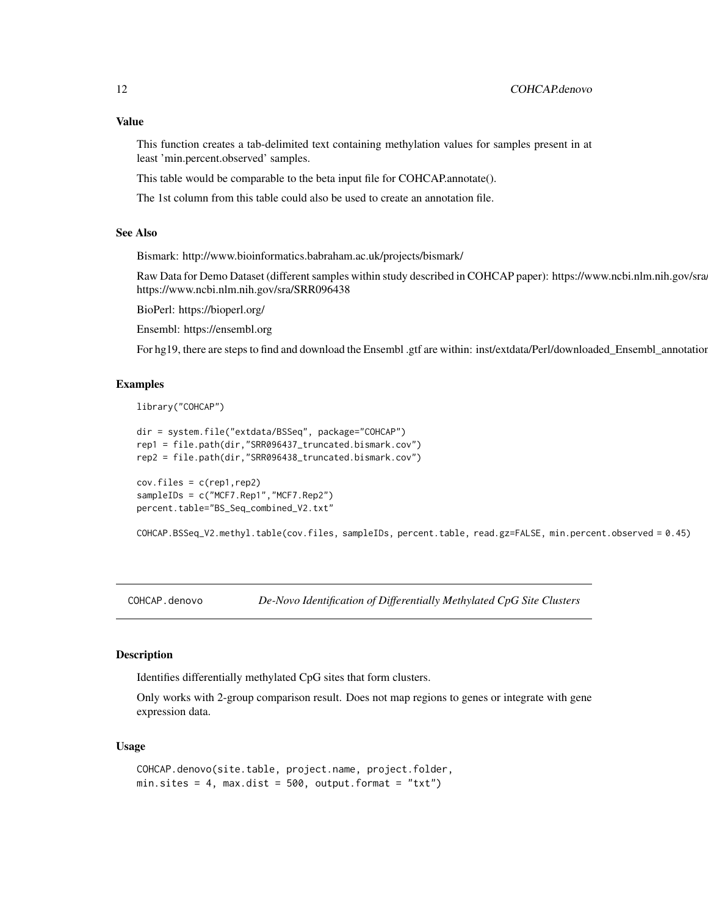# <span id="page-11-0"></span>Value

This function creates a tab-delimited text containing methylation values for samples present in at least 'min.percent.observed' samples.

This table would be comparable to the beta input file for COHCAP.annotate().

The 1st column from this table could also be used to create an annotation file.

# See Also

Bismark: http://www.bioinformatics.babraham.ac.uk/projects/bismark/

Raw Data for Demo Dataset (different samples within study described in COHCAP paper): https://www.ncbi.nlm.nih.gov/sra https://www.ncbi.nlm.nih.gov/sra/SRR096438

BioPerl: https://bioperl.org/

Ensembl: https://ensembl.org

For hg19, there are steps to find and download the Ensembl .gtf are within: inst/extdata/Perl/downloaded\_Ensembl\_annotation

#### Examples

```
library("COHCAP")
```

```
dir = system.file("extdata/BSSeq", package="COHCAP")
rep1 = file.path(dir,"SRR096437_truncated.bismark.cov")
rep2 = file.path(dir,"SRR096438_truncated.bismark.cov")
```

```
cov.files = c(rep1, rep2)sampleIDs = c("MCF7.Rep1","MCF7.Rep2")
percent.table="BS_Seq_combined_V2.txt"
```
COHCAP.BSSeq\_V2.methyl.table(cov.files, sampleIDs, percent.table, read.gz=FALSE, min.percent.observed = 0.45)

COHCAP.denovo *De-Novo Identification of Differentially Methylated CpG Site Clusters*

# Description

Identifies differentially methylated CpG sites that form clusters.

Only works with 2-group comparison result. Does not map regions to genes or integrate with gene expression data.

#### Usage

```
COHCAP.denovo(site.table, project.name, project.folder,
min. sites = 4, max.dist = 500, output.format = "txt")
```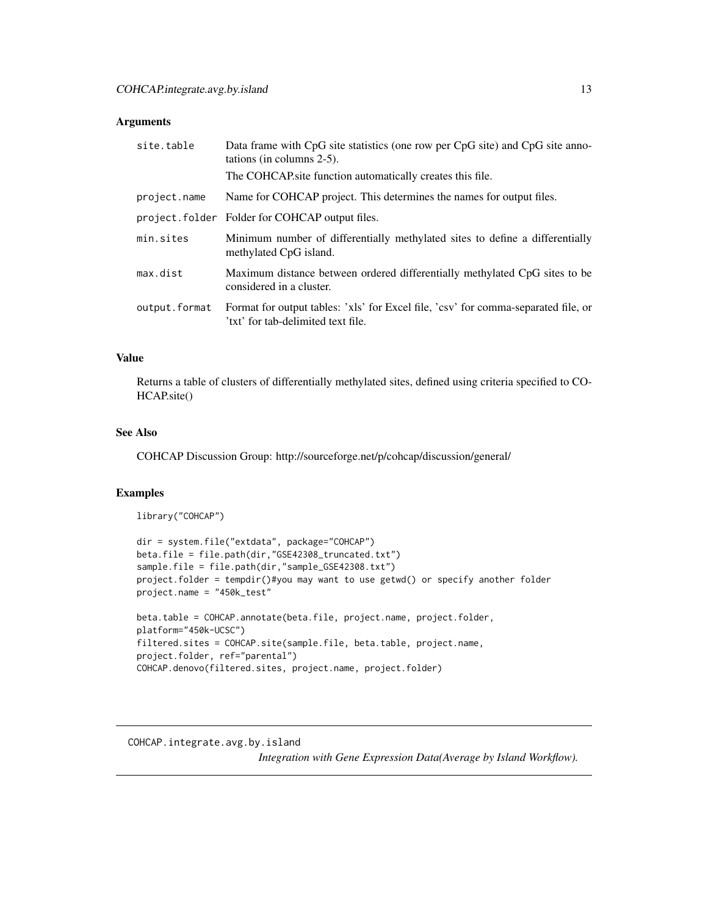# <span id="page-12-0"></span>Arguments

| site.table    | Data frame with CpG site statistics (one row per CpG site) and CpG site anno-<br>tations (in columns $2-5$ ).            |
|---------------|--------------------------------------------------------------------------------------------------------------------------|
|               | The COHCAP site function automatically creates this file.                                                                |
| project.name  | Name for COHCAP project. This determines the names for output files.                                                     |
|               | project.folder Folder for COHCAP output files.                                                                           |
| min.sites     | Minimum number of differentially methylated sites to define a differentially<br>methylated CpG island.                   |
| max.dist      | Maximum distance between ordered differentially methylated CpG sites to be<br>considered in a cluster.                   |
| output.format | Format for output tables: 'xls' for Excel file, 'csv' for comma-separated file, or<br>'txt' for tab-delimited text file. |

# Value

Returns a table of clusters of differentially methylated sites, defined using criteria specified to CO-HCAP.site()

# See Also

COHCAP Discussion Group: http://sourceforge.net/p/cohcap/discussion/general/

# Examples

```
library("COHCAP")
```

```
dir = system.file("extdata", package="COHCAP")
beta.file = file.path(dir,"GSE42308_truncated.txt")
sample.file = file.path(dir,"sample_GSE42308.txt")
project.folder = tempdir()#you may want to use getwd() or specify another folder
project.name = "450k_test"
beta.table = COHCAP.annotate(beta.file, project.name, project.folder,
platform="450k-UCSC")
filtered.sites = COHCAP.site(sample.file, beta.table, project.name,
project.folder, ref="parental")
COHCAP.denovo(filtered.sites, project.name, project.folder)
```
COHCAP.integrate.avg.by.island *Integration with Gene Expression Data(Average by Island Workflow).*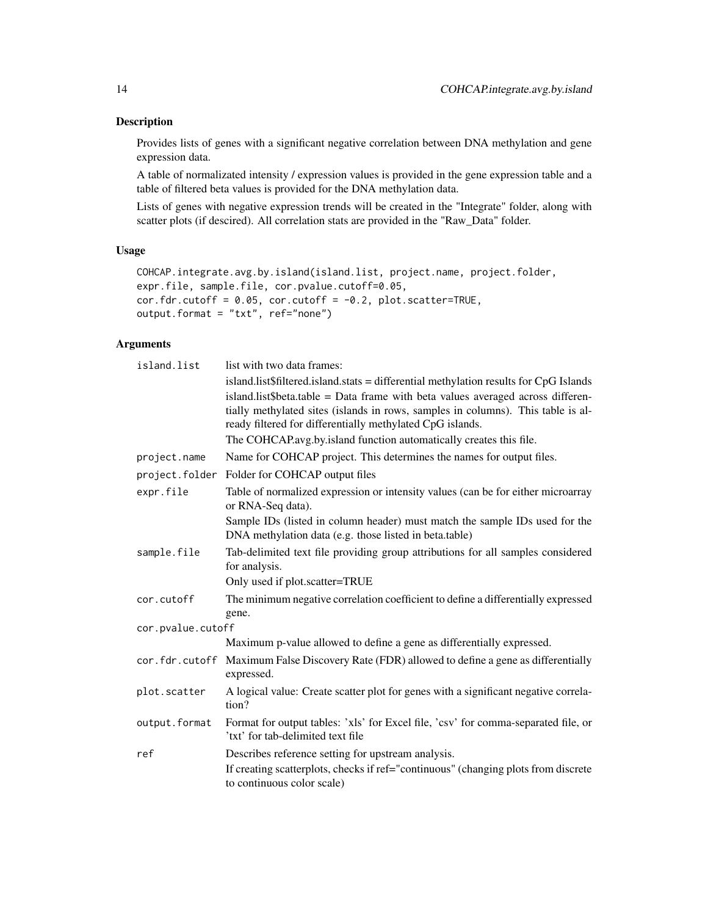# Description

Provides lists of genes with a significant negative correlation between DNA methylation and gene expression data.

A table of normalizated intensity / expression values is provided in the gene expression table and a table of filtered beta values is provided for the DNA methylation data.

Lists of genes with negative expression trends will be created in the "Integrate" folder, along with scatter plots (if descired). All correlation stats are provided in the "Raw\_Data" folder.

### Usage

```
COHCAP.integrate.avg.by.island(island.list, project.name, project.folder,
expr.file, sample.file, cor.pvalue.cutoff=0.05,
cor.fdr.cutoff = 0.05, cor.cutoff = -0.2, plot.scatter=TRUE,
output.format = "txt", ref="none")
```

| island.list       | list with two data frames:                                                                                                            |
|-------------------|---------------------------------------------------------------------------------------------------------------------------------------|
|                   | island.list\$filtered.island.stats = differential methylation results for CpG Islands                                                 |
|                   | island.list\$beta.table = Data frame with beta values averaged across differen-                                                       |
|                   | tially methylated sites (islands in rows, samples in columns). This table is al-                                                      |
|                   | ready filtered for differentially methylated CpG islands.                                                                             |
|                   | The COHCAP.avg.by.island function automatically creates this file.                                                                    |
| project.name      | Name for COHCAP project. This determines the names for output files.                                                                  |
|                   | project.folder Folder for COHCAP output files                                                                                         |
| expr.file         | Table of normalized expression or intensity values (can be for either microarray<br>or RNA-Seq data).                                 |
|                   | Sample IDs (listed in column header) must match the sample IDs used for the<br>DNA methylation data (e.g. those listed in beta.table) |
| sample.file       | Tab-delimited text file providing group attributions for all samples considered<br>for analysis.                                      |
|                   | Only used if plot.scatter=TRUE                                                                                                        |
| cor.cutoff        | The minimum negative correlation coefficient to define a differentially expressed                                                     |
|                   | gene.                                                                                                                                 |
| cor.pvalue.cutoff |                                                                                                                                       |
|                   | Maximum p-value allowed to define a gene as differentially expressed.                                                                 |
|                   | cor. fdr. cutoff Maximum False Discovery Rate (FDR) allowed to define a gene as differentially<br>expressed.                          |
| plot.scatter      | A logical value: Create scatter plot for genes with a significant negative correla-<br>tion?                                          |
| output.format     | Format for output tables: 'xls' for Excel file, 'csv' for comma-separated file, or<br>'txt' for tab-delimited text file               |
| ref               | Describes reference setting for upstream analysis.                                                                                    |
|                   | If creating scatterplots, checks if ref="continuous" (changing plots from discrete<br>to continuous color scale)                      |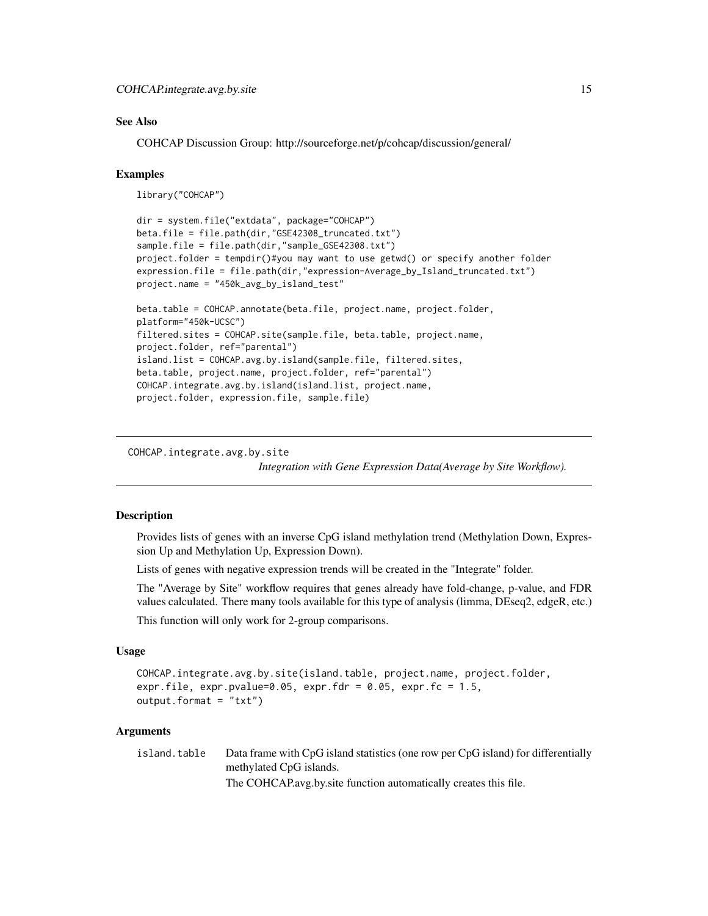# <span id="page-14-0"></span>See Also

COHCAP Discussion Group: http://sourceforge.net/p/cohcap/discussion/general/

#### Examples

```
library("COHCAP")
```

```
dir = system.file("extdata", package="COHCAP")
beta.file = file.path(dir,"GSE42308_truncated.txt")
sample.file = file.path(dir,"sample_GSE42308.txt")
project.folder = tempdir()#you may want to use getwd() or specify another folder
expression.file = file.path(dir,"expression-Average_by_Island_truncated.txt")
project.name = "450k_avg_by_island_test"
beta.table = COHCAP.annotate(beta.file, project.name, project.folder,
platform="450k-UCSC")
filtered.sites = COHCAP.site(sample.file, beta.table, project.name,
project.folder, ref="parental")
island.list = COHCAP.avg.by.island(sample.file, filtered.sites,
beta.table, project.name, project.folder, ref="parental")
COHCAP.integrate.avg.by.island(island.list, project.name,
```
project.folder, expression.file, sample.file)

COHCAP.integrate.avg.by.site

*Integration with Gene Expression Data(Average by Site Workflow).*

#### Description

Provides lists of genes with an inverse CpG island methylation trend (Methylation Down, Expression Up and Methylation Up, Expression Down).

Lists of genes with negative expression trends will be created in the "Integrate" folder.

The "Average by Site" workflow requires that genes already have fold-change, p-value, and FDR values calculated. There many tools available for this type of analysis (limma, DEseq2, edgeR, etc.)

This function will only work for 2-group comparisons.

#### Usage

```
COHCAP.integrate.avg.by.site(island.table, project.name, project.folder,
expr.file, expr.pvalue=0.05, expr.fdr = 0.05, expr.fc = 1.5,
output.format = "txt")
```
# Arguments

island.table Data frame with CpG island statistics (one row per CpG island) for differentially methylated CpG islands. The COHCAP.avg.by.site function automatically creates this file.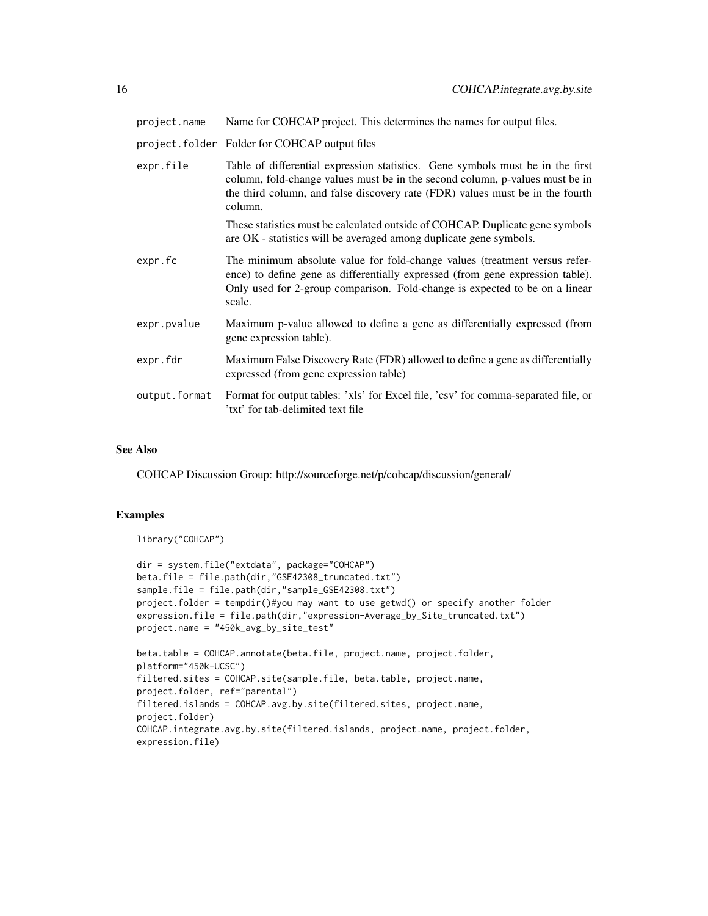project.name Name for COHCAP project. This determines the names for output files.

project.folder Folder for COHCAP output files

| expr.file     | Table of differential expression statistics. Gene symbols must be in the first<br>column, fold-change values must be in the second column, p-values must be in<br>the third column, and false discovery rate (FDR) values must be in the fourth<br>column. |
|---------------|------------------------------------------------------------------------------------------------------------------------------------------------------------------------------------------------------------------------------------------------------------|
|               | These statistics must be calculated outside of COHCAP. Duplicate gene symbols<br>are OK - statistics will be averaged among duplicate gene symbols.                                                                                                        |
| expr.fc       | The minimum absolute value for fold-change values (treatment versus refer-<br>ence) to define gene as differentially expressed (from gene expression table).<br>Only used for 2-group comparison. Fold-change is expected to be on a linear<br>scale.      |
| expr.pvalue   | Maximum p-value allowed to define a gene as differentially expressed (from<br>gene expression table).                                                                                                                                                      |
| expr.fdr      | Maximum False Discovery Rate (FDR) allowed to define a gene as differentially<br>expressed (from gene expression table)                                                                                                                                    |
| output.format | Format for output tables: 'xls' for Excel file, 'csv' for comma-separated file, or<br>'txt' for tab-delimited text file                                                                                                                                    |

# See Also

COHCAP Discussion Group: http://sourceforge.net/p/cohcap/discussion/general/

# Examples

```
library("COHCAP")
```

```
dir = system.file("extdata", package="COHCAP")
beta.file = file.path(dir,"GSE42308_truncated.txt")
sample.file = file.path(dir,"sample_GSE42308.txt")
project.folder = tempdir()#you may want to use getwd() or specify another folder
expression.file = file.path(dir,"expression-Average_by_Site_truncated.txt")
project.name = "450k_avg_by_site_test"
beta.table = COHCAP.annotate(beta.file, project.name, project.folder,
platform="450k-UCSC")
filtered.sites = COHCAP.site(sample.file, beta.table, project.name,
```

```
project.folder, ref="parental")
filtered.islands = COHCAP.avg.by.site(filtered.sites, project.name,
project.folder)
COHCAP.integrate.avg.by.site(filtered.islands, project.name, project.folder,
expression.file)
```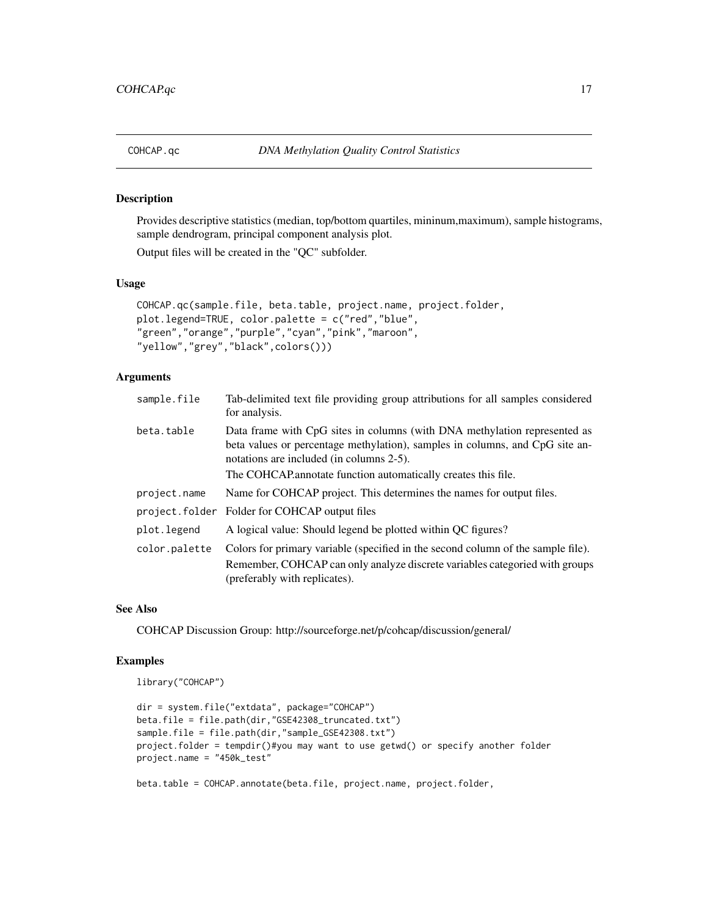<span id="page-16-0"></span>

### Description

Provides descriptive statistics (median, top/bottom quartiles, mininum,maximum), sample histograms, sample dendrogram, principal component analysis plot.

Output files will be created in the "QC" subfolder.

#### Usage

```
COHCAP.qc(sample.file, beta.table, project.name, project.folder,
plot.legend=TRUE, color.palette = c("red","blue",
"green","orange","purple","cyan","pink","maroon",
"yellow","grey","black",colors()))
```
# Arguments

| sample.file   | Tab-delimited text file providing group attributions for all samples considered<br>for analysis.                                                                                                                                                                       |
|---------------|------------------------------------------------------------------------------------------------------------------------------------------------------------------------------------------------------------------------------------------------------------------------|
| beta.table    | Data frame with CpG sites in columns (with DNA methylation represented as<br>beta values or percentage methylation), samples in columns, and CpG site an-<br>notations are included (in columns 2-5).<br>The COHCAP annotate function automatically creates this file. |
| project.name  | Name for COHCAP project. This determines the names for output files.                                                                                                                                                                                                   |
|               | project.folder Folder for COHCAP output files                                                                                                                                                                                                                          |
| plot.legend   | A logical value: Should legend be plotted within QC figures?                                                                                                                                                                                                           |
| color.palette | Colors for primary variable (specified in the second column of the sample file).                                                                                                                                                                                       |
|               | Remember, COHCAP can only analyze discrete variables categoried with groups<br>(preferably with replicates).                                                                                                                                                           |

### See Also

COHCAP Discussion Group: http://sourceforge.net/p/cohcap/discussion/general/

#### Examples

```
library("COHCAP")
```

```
dir = system.file("extdata", package="COHCAP")
beta.file = file.path(dir,"GSE42308_truncated.txt")
sample.file = file.path(dir,"sample_GSE42308.txt")
project.folder = tempdir()#you may want to use getwd() or specify another folder
project.name = "450k_test"
```
beta.table = COHCAP.annotate(beta.file, project.name, project.folder,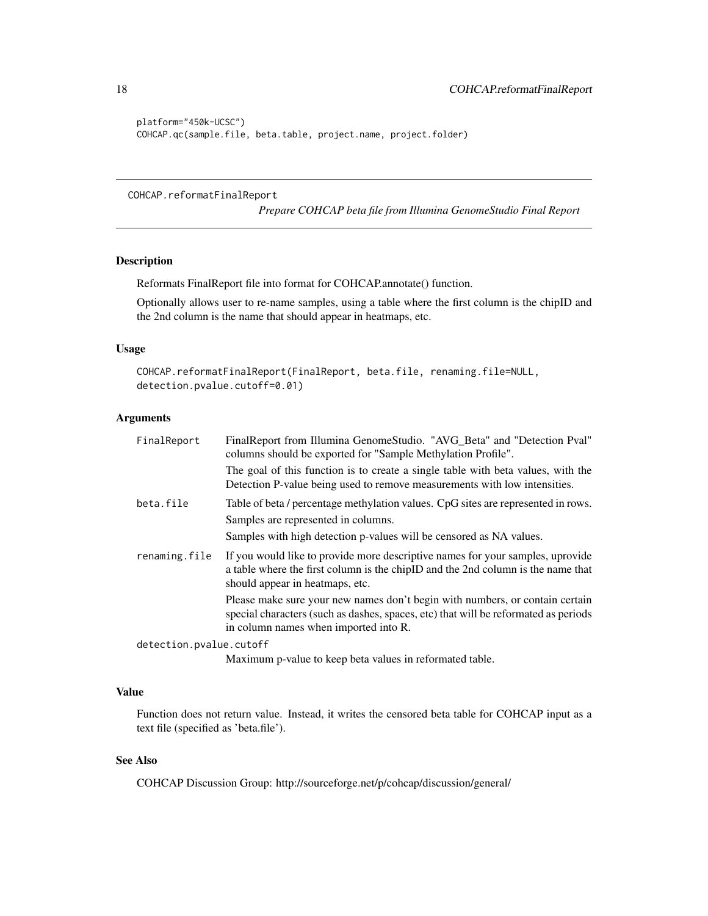```
platform="450k-UCSC")
COHCAP.qc(sample.file, beta.table, project.name, project.folder)
```
COHCAP.reformatFinalReport

*Prepare COHCAP beta file from Illumina GenomeStudio Final Report*

# Description

Reformats FinalReport file into format for COHCAP.annotate() function.

Optionally allows user to re-name samples, using a table where the first column is the chipID and the 2nd column is the name that should appear in heatmaps, etc.

# Usage

```
COHCAP.reformatFinalReport(FinalReport, beta.file, renaming.file=NULL,
detection.pvalue.cutoff=0.01)
```
## Arguments

| FinalReport             | FinalReport from Illumina GenomeStudio. "AVG_Beta" and "Detection Pval"<br>columns should be exported for "Sample Methylation Profile".                                                                      |
|-------------------------|--------------------------------------------------------------------------------------------------------------------------------------------------------------------------------------------------------------|
|                         | The goal of this function is to create a single table with beta values, with the<br>Detection P-value being used to remove measurements with low intensities.                                                |
| beta.file               | Table of beta / percentage methylation values. CpG sites are represented in rows.<br>Samples are represented in columns.<br>Samples with high detection p-values will be censored as NA values.              |
| renaming.file           | If you would like to provide more descriptive names for your samples, uprovide<br>a table where the first column is the chipID and the 2nd column is the name that<br>should appear in heatmaps, etc.        |
|                         | Please make sure your new names don't begin with numbers, or contain certain<br>special characters (such as dashes, spaces, etc) that will be reformated as periods<br>in column names when imported into R. |
| detection.pvalue.cutoff |                                                                                                                                                                                                              |
|                         |                                                                                                                                                                                                              |

Maximum p-value to keep beta values in reformated table.

# Value

Function does not return value. Instead, it writes the censored beta table for COHCAP input as a text file (specified as 'beta.file').

# See Also

COHCAP Discussion Group: http://sourceforge.net/p/cohcap/discussion/general/

<span id="page-17-0"></span>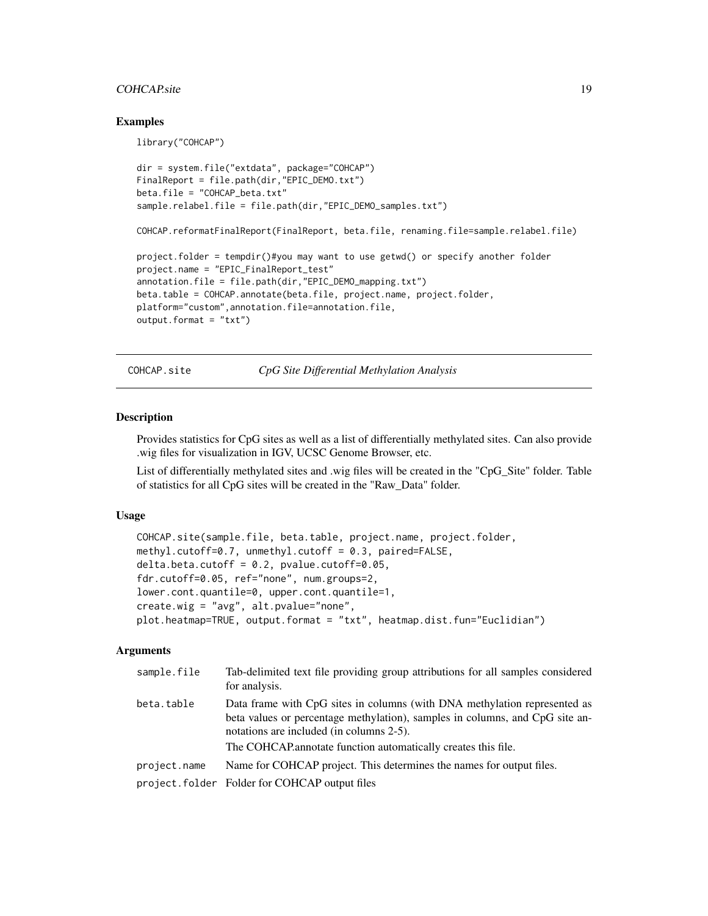# <span id="page-18-0"></span>COHCAP.site 19

### Examples

```
library("COHCAP")
dir = system.file("extdata", package="COHCAP")
FinalReport = file.path(dir,"EPIC_DEMO.txt")
beta.file = "COHCAP_beta.txt"
sample.relabel.file = file.path(dir,"EPIC_DEMO_samples.txt")
COHCAP.reformatFinalReport(FinalReport, beta.file, renaming.file=sample.relabel.file)
project.folder = tempdir()#you may want to use getwd() or specify another folder
project.name = "EPIC_FinalReport_test"
annotation.file = file.path(dir,"EPIC_DEMO_mapping.txt")
beta.table = COHCAP.annotate(beta.file, project.name, project.folder,
platform="custom",annotation.file=annotation.file,
output.format = "txt")
```
COHCAP.site *CpG Site Differential Methylation Analysis*

# Description

Provides statistics for CpG sites as well as a list of differentially methylated sites. Can also provide .wig files for visualization in IGV, UCSC Genome Browser, etc.

List of differentially methylated sites and .wig files will be created in the "CpG\_Site" folder. Table of statistics for all CpG sites will be created in the "Raw\_Data" folder.

# Usage

```
COHCAP.site(sample.file, beta.table, project.name, project.folder,
methyl.cutoff=0.7, unmethyl.cutoff = 0.3, paired=FALSE,
delta. beta. cutoff = 0.2, pvalue. cutoff = 0.05,fdr.cutoff=0.05, ref="none", num.groups=2,
lower.cont.quantile=0, upper.cont.quantile=1,
create.wig = "avg", alt.pvalue="none",
plot.heatmap=TRUE, output.format = "txt", heatmap.dist.fun="Euclidian")
```

| sample.file  | Tab-delimited text file providing group attributions for all samples considered<br>for analysis.                                                                                                                                                                       |
|--------------|------------------------------------------------------------------------------------------------------------------------------------------------------------------------------------------------------------------------------------------------------------------------|
| beta.table   | Data frame with CpG sites in columns (with DNA methylation represented as<br>beta values or percentage methylation), samples in columns, and CpG site an-<br>notations are included (in columns 2-5).<br>The COHCAP annotate function automatically creates this file. |
|              |                                                                                                                                                                                                                                                                        |
| project.name | Name for COHCAP project. This determines the names for output files.                                                                                                                                                                                                   |
|              | project.folder Folder for COHCAP output files                                                                                                                                                                                                                          |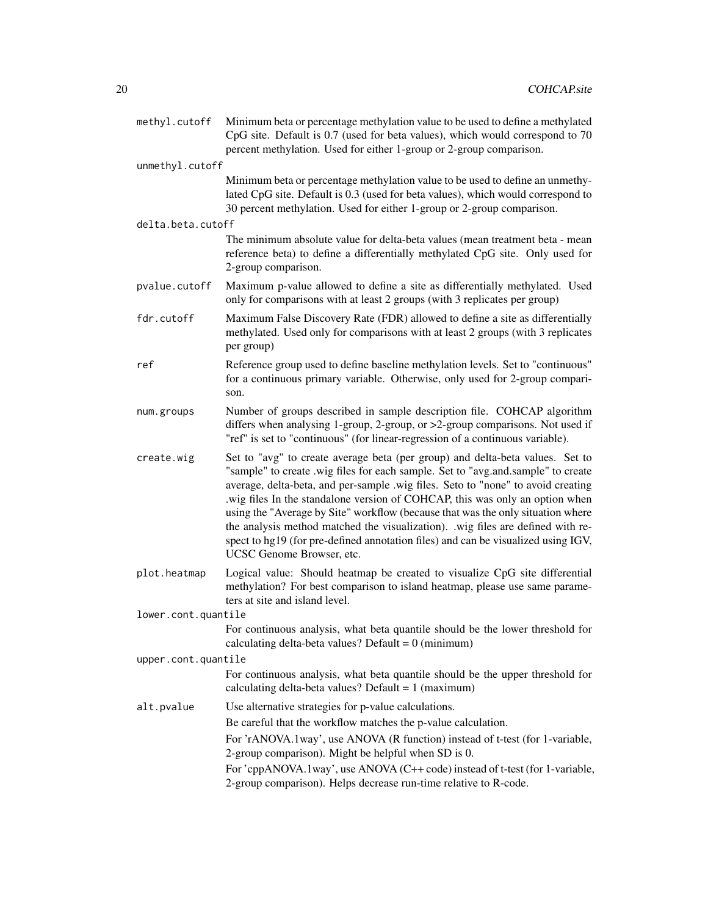| methyl.cutoff       | Minimum beta or percentage methylation value to be used to define a methylated<br>CpG site. Default is 0.7 (used for beta values), which would correspond to 70<br>percent methylation. Used for either 1-group or 2-group comparison.                                                                                                                                                                                                                                                                                                                                                                                        |
|---------------------|-------------------------------------------------------------------------------------------------------------------------------------------------------------------------------------------------------------------------------------------------------------------------------------------------------------------------------------------------------------------------------------------------------------------------------------------------------------------------------------------------------------------------------------------------------------------------------------------------------------------------------|
| unmethyl.cutoff     |                                                                                                                                                                                                                                                                                                                                                                                                                                                                                                                                                                                                                               |
|                     | Minimum beta or percentage methylation value to be used to define an unmethy-<br>lated CpG site. Default is 0.3 (used for beta values), which would correspond to<br>30 percent methylation. Used for either 1-group or 2-group comparison.                                                                                                                                                                                                                                                                                                                                                                                   |
| delta.beta.cutoff   |                                                                                                                                                                                                                                                                                                                                                                                                                                                                                                                                                                                                                               |
|                     | The minimum absolute value for delta-beta values (mean treatment beta - mean<br>reference beta) to define a differentially methylated CpG site. Only used for<br>2-group comparison.                                                                                                                                                                                                                                                                                                                                                                                                                                          |
| pvalue.cutoff       | Maximum p-value allowed to define a site as differentially methylated. Used<br>only for comparisons with at least 2 groups (with 3 replicates per group)                                                                                                                                                                                                                                                                                                                                                                                                                                                                      |
| fdr.cutoff          | Maximum False Discovery Rate (FDR) allowed to define a site as differentially<br>methylated. Used only for comparisons with at least 2 groups (with 3 replicates<br>per group)                                                                                                                                                                                                                                                                                                                                                                                                                                                |
| ref                 | Reference group used to define baseline methylation levels. Set to "continuous"<br>for a continuous primary variable. Otherwise, only used for 2-group compari-<br>son.                                                                                                                                                                                                                                                                                                                                                                                                                                                       |
| num.groups          | Number of groups described in sample description file. COHCAP algorithm<br>differs when analysing 1-group, 2-group, or >2-group comparisons. Not used if<br>"ref" is set to "continuous" (for linear-regression of a continuous variable).                                                                                                                                                                                                                                                                                                                                                                                    |
| create.wig          | Set to "avg" to create average beta (per group) and delta-beta values. Set to<br>"sample" to create .wig files for each sample. Set to "avg.and.sample" to create<br>average, delta-beta, and per-sample .wig files. Seto to "none" to avoid creating<br>.wig files In the standalone version of COHCAP, this was only an option when<br>using the "Average by Site" workflow (because that was the only situation where<br>the analysis method matched the visualization). .wig files are defined with re-<br>spect to hg19 (for pre-defined annotation files) and can be visualized using IGV,<br>UCSC Genome Browser, etc. |
| plot.heatmap        | Logical value: Should heatmap be created to visualize CpG site differential<br>methylation? For best comparison to island heatmap, please use same parame-<br>ters at site and island level.                                                                                                                                                                                                                                                                                                                                                                                                                                  |
| lower.cont.quantile |                                                                                                                                                                                                                                                                                                                                                                                                                                                                                                                                                                                                                               |
|                     | For continuous analysis, what beta quantile should be the lower threshold for<br>calculating delta-beta values? Default = $0$ (minimum)                                                                                                                                                                                                                                                                                                                                                                                                                                                                                       |
| upper.cont.quantile |                                                                                                                                                                                                                                                                                                                                                                                                                                                                                                                                                                                                                               |
|                     | For continuous analysis, what beta quantile should be the upper threshold for<br>calculating delta-beta values? Default = $1$ (maximum)                                                                                                                                                                                                                                                                                                                                                                                                                                                                                       |
| alt.pvalue          | Use alternative strategies for p-value calculations.                                                                                                                                                                                                                                                                                                                                                                                                                                                                                                                                                                          |
|                     | Be careful that the workflow matches the p-value calculation.                                                                                                                                                                                                                                                                                                                                                                                                                                                                                                                                                                 |
|                     | For 'rANOVA.1way', use ANOVA (R function) instead of t-test (for 1-variable,<br>2-group comparison). Might be helpful when SD is 0.                                                                                                                                                                                                                                                                                                                                                                                                                                                                                           |
|                     | For 'cppANOVA.1way', use ANOVA (C++ code) instead of t-test (for 1-variable,<br>2-group comparison). Helps decrease run-time relative to R-code.                                                                                                                                                                                                                                                                                                                                                                                                                                                                              |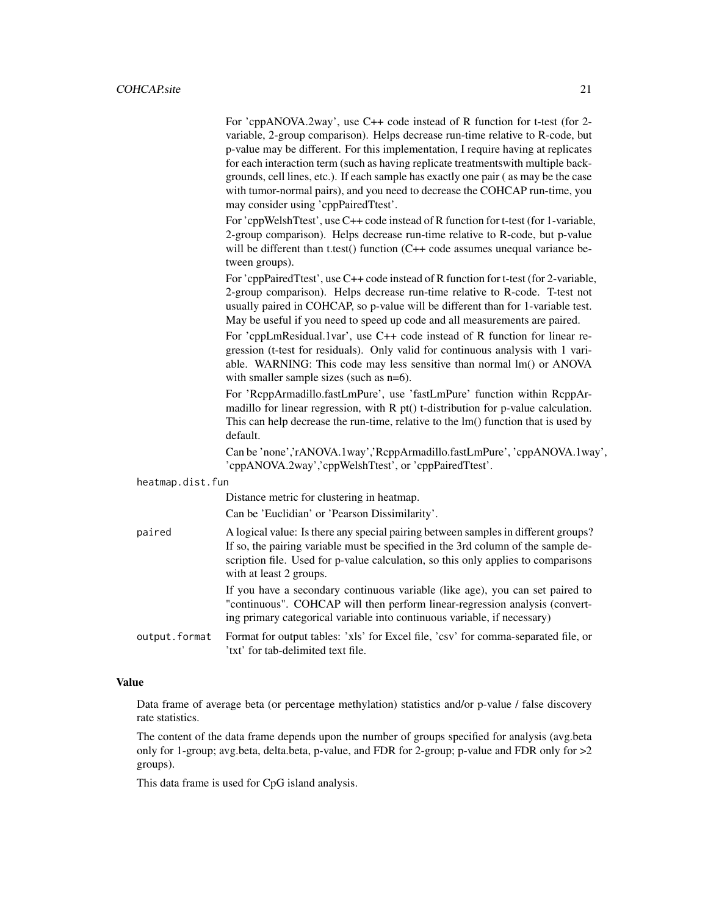For 'cppANOVA.2way', use C++ code instead of R function for t-test (for 2 variable, 2-group comparison). Helps decrease run-time relative to R-code, but p-value may be different. For this implementation, I require having at replicates for each interaction term (such as having replicate treatmentswith multiple backgrounds, cell lines, etc.). If each sample has exactly one pair ( as may be the case with tumor-normal pairs), and you need to decrease the COHCAP run-time, you may consider using 'cppPairedTtest'.

For 'cppWelshTtest', use C++ code instead of R function for t-test (for 1-variable, 2-group comparison). Helps decrease run-time relative to R-code, but p-value will be different than t.test() function (C++ code assumes unequal variance between groups).

For 'cppPairedTtest', use C++ code instead of R function for t-test (for 2-variable, 2-group comparison). Helps decrease run-time relative to R-code. T-test not usually paired in COHCAP, so p-value will be different than for 1-variable test. May be useful if you need to speed up code and all measurements are paired.

For 'cppLmResidual.1var', use C++ code instead of R function for linear regression (t-test for residuals). Only valid for continuous analysis with 1 variable. WARNING: This code may less sensitive than normal lm() or ANOVA with smaller sample sizes (such as  $n=6$ ).

For 'RcppArmadillo.fastLmPure', use 'fastLmPure' function within RcppArmadillo for linear regression, with  $R$  pt() t-distribution for p-value calculation. This can help decrease the run-time, relative to the lm() function that is used by default.

Can be 'none','rANOVA.1way','RcppArmadillo.fastLmPure', 'cppANOVA.1way', 'cppANOVA.2way','cppWelshTtest', or 'cppPairedTtest'.

| heatmap.dist.fun |                                                                                                                                                                                                                                                                                         |  |
|------------------|-----------------------------------------------------------------------------------------------------------------------------------------------------------------------------------------------------------------------------------------------------------------------------------------|--|
|                  | Distance metric for clustering in heatmap.                                                                                                                                                                                                                                              |  |
|                  | Can be 'Euclidian' or 'Pearson Dissimilarity'.                                                                                                                                                                                                                                          |  |
| paired           | A logical value: Is there any special pairing between samples in different groups?<br>If so, the pairing variable must be specified in the 3rd column of the sample de-<br>scription file. Used for p-value calculation, so this only applies to comparisons<br>with at least 2 groups. |  |
|                  | If you have a secondary continuous variable (like age), you can set paired to<br>"continuous". COHCAP will then perform linear-regression analysis (convert-<br>ing primary categorical variable into continuous variable, if necessary)                                                |  |
| output.format    | Format for output tables: 'xls' for Excel file, 'csv' for comma-separated file, or<br>'txt' for tab-delimited text file.                                                                                                                                                                |  |

## Value

Data frame of average beta (or percentage methylation) statistics and/or p-value / false discovery rate statistics.

The content of the data frame depends upon the number of groups specified for analysis (avg.beta only for 1-group; avg.beta, delta.beta, p-value, and FDR for 2-group; p-value and FDR only for >2 groups).

This data frame is used for CpG island analysis.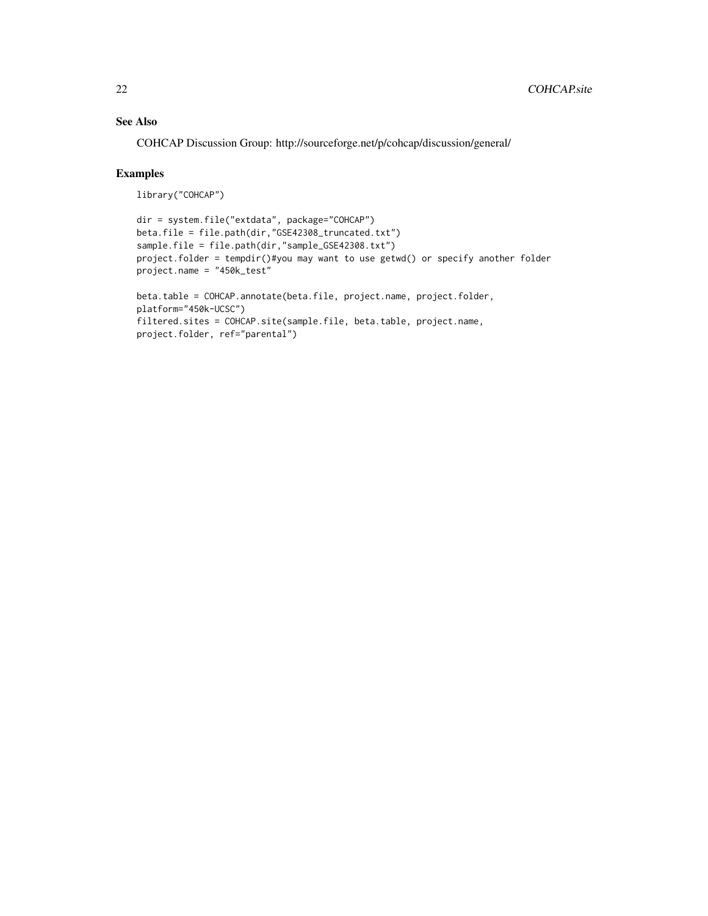# See Also

COHCAP Discussion Group: http://sourceforge.net/p/cohcap/discussion/general/

# Examples

```
library("COHCAP")
```

```
dir = system.file("extdata", package="COHCAP")
beta.file = file.path(dir,"GSE42308_truncated.txt")
sample.file = file.path(dir,"sample_GSE42308.txt")
project.folder = tempdir()#you may want to use getwd() or specify another folder
project.name = "450k_test"
```

```
beta.table = COHCAP.annotate(beta.file, project.name, project.folder,
platform="450k-UCSC")
filtered.sites = COHCAP.site(sample.file, beta.table, project.name,
project.folder, ref="parental")
```